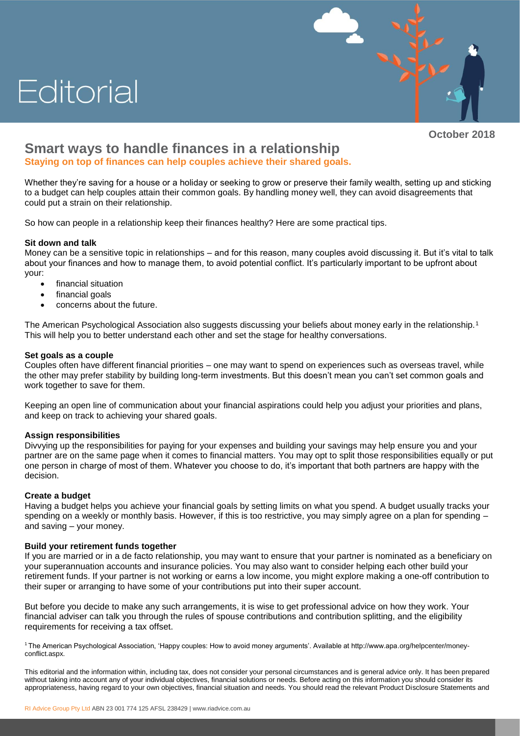# Editorial



**October 2018**

# **Smart ways to handle finances in a relationship**

**Staying on top of finances can help couples achieve their shared goals.**

Whether they're saving for a house or a holiday or seeking to grow or preserve their family wealth, setting up and sticking to a budget can help couples attain their common goals. By handling money well, they can avoid disagreements that could put a strain on their relationship.

So how can people in a relationship keep their finances healthy? Here are some practical tips.

# **Sit down and talk**

Money can be a sensitive topic in relationships – and for this reason, many couples avoid discussing it. But it's vital to talk about your finances and how to manage them, to avoid potential conflict. It's particularly important to be upfront about your:

- financial situation
- financial goals
- concerns about the future.

The American Psychological Association also suggests discussing your beliefs about money early in the relationship.<sup>1</sup> This will help you to better understand each other and set the stage for healthy conversations.

# **Set goals as a couple**

Couples often have different financial priorities – one may want to spend on experiences such as overseas travel, while the other may prefer stability by building long-term investments. But this doesn't mean you can't set common goals and work together to save for them.

Keeping an open line of communication about your financial aspirations could help you adjust your priorities and plans, and keep on track to achieving your shared goals.

### **Assign responsibilities**

Divvying up the responsibilities for paying for your expenses and building your savings may help ensure you and your partner are on the same page when it comes to financial matters. You may opt to split those responsibilities equally or put one person in charge of most of them. Whatever you choose to do, it's important that both partners are happy with the decision.

### **Create a budget**

Having a budget helps you achieve your financial goals by setting limits on what you spend. A budget usually tracks your spending on a weekly or monthly basis. However, if this is too restrictive, you may simply agree on a plan for spending and saving – your money.

### **Build your retirement funds together**

If you are married or in a de facto relationship, you may want to ensure that your partner is nominated as a beneficiary on your superannuation accounts and insurance policies. You may also want to consider helping each other build your retirement funds. If your partner is not working or earns a low income, you might explore making a one-off contribution to their super or arranging to have some of your contributions put into their super account.

But before you decide to make any such arrangements, it is wise to get professional advice on how they work. Your financial adviser can talk you through the rules of spouse contributions and contribution splitting, and the eligibility requirements for receiving a tax offset.

1 The American Psychological Association, 'Happy couples: How to avoid money arguments'. Available at http://www.apa.org/helpcenter/moneyconflict.aspx.

This editorial and the information within, including tax, does not consider your personal circumstances and is general advice only. It has been prepared without taking into account any of your individual objectives, financial solutions or needs. Before acting on this information you should consider its appropriateness, having regard to your own objectives, financial situation and needs. You should read the relevant Product Disclosure Statements and